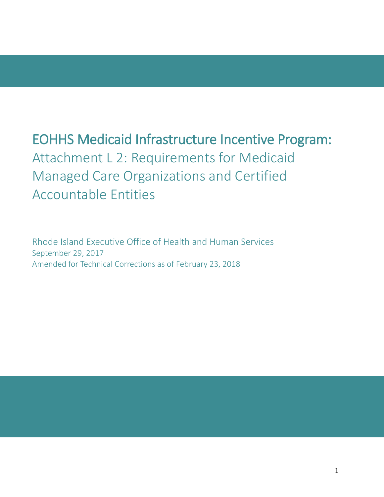# EOHHS Medicaid Infrastructure Incentive Program: Attachment L 2: Requirements for Medicaid Managed Care Organizations and Certified Accountable Entities

Rhode Island Executive Office of Health and Human Services September 29, 2017 Amended for Technical Corrections as of February 23, 2018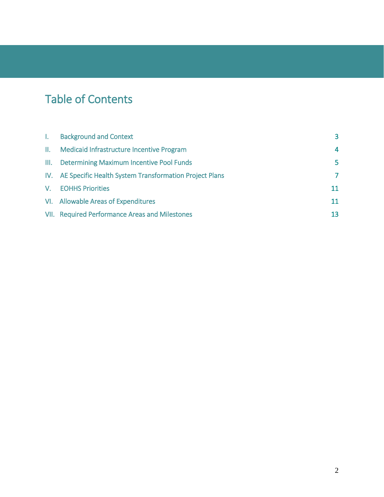# Table of Contents

| $\mathbf{L}$ | <b>Background and Context</b>                              | 3                       |
|--------------|------------------------------------------------------------|-------------------------|
|              | II. Medicaid Infrastructure Incentive Program              | $\overline{\mathbf{A}}$ |
|              | III. Determining Maximum Incentive Pool Funds              | 5                       |
|              | IV. AE Specific Health System Transformation Project Plans | $\mathcal{L}$           |
|              | V. EOHHS Priorities                                        | 11                      |
|              | VI. Allowable Areas of Expenditures                        | 11                      |
|              | VII. Required Performance Areas and Milestones             | 13                      |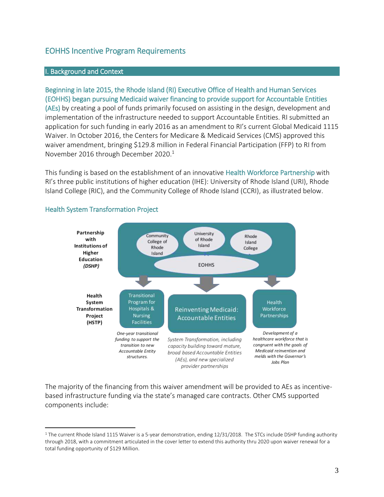# EOHHS Incentive Program Requirements

#### I. Background and Context

Beginning in late 2015, the Rhode Island (RI) Executive Office of Health and Human Services (EOHHS) began pursuing Medicaid waiver financing to provide support for Accountable Entities (AEs) by creating a pool of funds primarily focused on assisting in the design, development and implementation of the infrastructure needed to support Accountable Entities. RI submitted an application for such funding in early 2016 as an amendment to RI's current Global Medicaid 1115 Waiver. In October 2016, the Centers for Medicare & Medicaid Services (CMS) approved this waiver amendment, bringing \$129.8 million in Federal Financial Participation (FFP) to RI from November 2016 through December 2020. 1

This funding is based on the establishment of an innovative Health Workforce Partnership with RI's three public institutions of higher education (IHE): University of Rhode Island (URI), Rhode Island College (RIC), and the Community College of Rhode Island (CCRI), as illustrated below.



# Health System Transformation Project

 $\overline{a}$ 

The majority of the financing from this waiver amendment will be provided to AEs as incentivebased infrastructure funding via the state's managed care contracts. Other CMS supported components include:

<sup>&</sup>lt;sup>1</sup> The current Rhode Island 1115 Waiver is a 5-year demonstration, ending 12/31/2018. The STCs include DSHP funding authority through 2018, with a commitment articulated in the cover letter to extend this authority thru 2020 upon waiver renewal for a total funding opportunity of \$129 Million.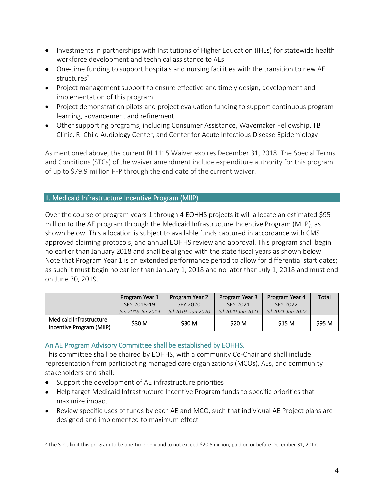- Investments in partnerships with Institutions of Higher Education (IHEs) for statewide health workforce development and technical assistance to AEs
- One-time funding to support hospitals and nursing facilities with the transition to new AE structures<sup>2</sup>
- Project management support to ensure effective and timely design, development and implementation of this program
- Project demonstration pilots and project evaluation funding to support continuous program learning, advancement and refinement
- Other supporting programs, including Consumer Assistance, Wavemaker Fellowship, TB Clinic, RI Child Audiology Center, and Center for Acute Infectious Disease Epidemiology

As mentioned above, the current RI 1115 Waiver expires December 31, 2018. The Special Terms and Conditions (STCs) of the waiver amendment include expenditure authority for this program of up to \$79.9 million FFP through the end date of the current waiver.

# II. Medicaid Infrastructure Incentive Program (MIIP)

Over the course of program years 1 through 4 EOHHS projects it will allocate an estimated \$95 million to the AE program through the Medicaid Infrastructure Incentive Program (MIIP), as shown below. This allocation is subject to available funds captured in accordance with CMS approved claiming protocols, and annual EOHHS review and approval. This program shall begin no earlier than January 2018 and shall be aligned with the state fiscal years as shown below. Note that Program Year 1 is an extended performance period to allow for differential start dates; as such it must begin no earlier than January 1, 2018 and no later than July 1, 2018 and must end on June 30, 2019.

|                                                     | Program Year 1   | Program Year 2     | Program Year 3    | Program Year 4    | Total  |
|-----------------------------------------------------|------------------|--------------------|-------------------|-------------------|--------|
|                                                     | SFY 2018-19      | SFY 2020           | SFY 2021          | SFY 2022          |        |
|                                                     | Jan 2018-Jun2019 | Jul 2019- Jun 2020 | Jul 2020-Jun 2021 | Jul 2021-Jun 2022 |        |
| Medicaid Infrastructure<br>Incentive Program (MIIP) | \$30 M           | \$30 M             | <b>S20 M</b>      | <b>S15 M</b>      | \$95 M |

#### An AE Program Advisory Committee shall be established by EOHHS.

This committee shall be chaired by EOHHS, with a community Co-Chair and shall include representation from participating managed care organizations (MCOs), AEs, and community stakeholders and shall:

- Support the development of AE infrastructure priorities
- Help target Medicaid Infrastructure Incentive Program funds to specific priorities that maximize impact
- Review specific uses of funds by each AE and MCO, such that individual AE Project plans are designed and implemented to maximum effect

 $\overline{a}$ <sup>2</sup> The STCs limit this program to be one-time only and to not exceed \$20.5 million, paid on or before December 31, 2017.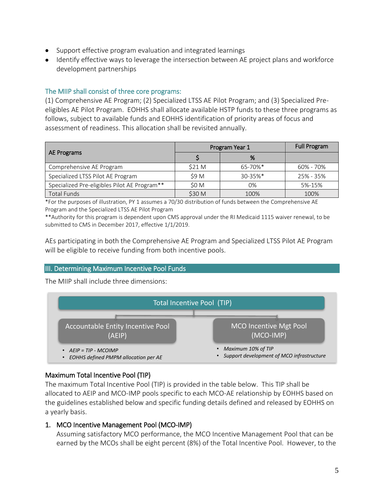- Support effective program evaluation and integrated learnings
- Identify effective ways to leverage the intersection between AE project plans and workforce development partnerships

#### The MIIP shall consist of three core programs:

(1) Comprehensive AE Program; (2) Specialized LTSS AE Pilot Program; and (3) Specialized Preeligibles AE Pilot Program. EOHHS shall allocate available HSTP funds to these three programs as follows, subject to available funds and EOHHS identification of priority areas of focus and assessment of readiness. This allocation shall be revisited annually.

|                                              | Program Year 1 |               | <b>Full Program</b> |
|----------------------------------------------|----------------|---------------|---------------------|
| AE Programs                                  |                | %             |                     |
| Comprehensive AE Program                     | \$21 M         | 65-70%*       | 60% - 70%           |
| Specialized LTSS Pilot AE Program            | \$9 M          | $30 - 35\%$ * | 25% - 35%           |
| Specialized Pre-eligibles Pilot AE Program** | \$0 M          | 0%            | 5%-15%              |
| <b>Total Funds</b>                           | \$30 M         | 100%          | 100%                |

\*For the purposes of illustration, PY 1 assumes a 70/30 distribution of funds between the Comprehensive AE Program and the Specialized LTSS AE Pilot Program

\*\*Authority for this program is dependent upon CMS approval under the RI Medicaid 1115 waiver renewal, to be submitted to CMS in December 2017, effective 1/1/2019.

AEs participating in both the Comprehensive AE Program and Specialized LTSS Pilot AE Program will be eligible to receive funding from both incentive pools.

#### III. Determining Maximum Incentive Pool Funds

The MIIP shall include three dimensions:



# Maximum Total Incentive Pool (TIP)

The maximum Total Incentive Pool (TIP) is provided in the table below. This TIP shall be allocated to AEIP and MCO-IMP pools specific to each MCO-AE relationship by EOHHS based on the guidelines established below and specific funding details defined and released by EOHHS on a yearly basis.

#### 1. MCO Incentive Management Pool (MCO-IMP)

Assuming satisfactory MCO performance, the MCO Incentive Management Pool that can be earned by the MCOs shall be eight percent (8%) of the Total Incentive Pool. However, to the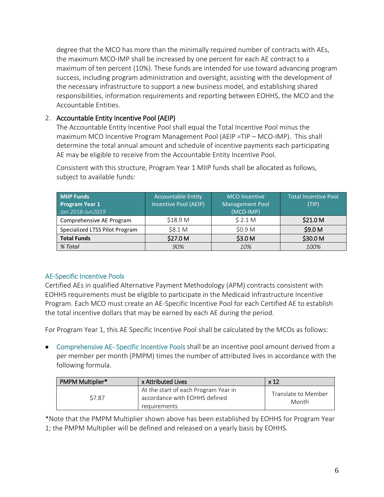degree that the MCO has more than the minimally required number of contracts with AEs, the maximum MCO-IMP shall be increased by one percent for each AE contract to a maximum of ten percent (10%). These funds are intended for use toward advancing program success, including program administration and oversight, assisting with the development of the necessary infrastructure to support a new business model, and establishing shared responsibilities, information requirements and reporting between EOHHS, the MCO and the Accountable Entities.

# 2. Accountable Entity Incentive Pool (AEIP)

The Accountable Entity Incentive Pool shall equal the Total Incentive Pool minus the maximum MCO Incentive Program Management Pool (AEIP =TIP – MCO-IMP). This shall determine the total annual amount and schedule of incentive payments each participating AE may be eligible to receive from the Accountable Entity Incentive Pool.

| <b>MIIP Funds</b><br><b>Program Year 1</b><br>Jan 2018-Jun 2019 | <b>Accountable Entity</b><br>Incentive Pool (AEIP) | <b>MCO</b> Incentive<br><b>Management Pool</b><br>(MCO-IMP) | <b>Total Incentive Pool</b><br>(TIP) |
|-----------------------------------------------------------------|----------------------------------------------------|-------------------------------------------------------------|--------------------------------------|
| Comprehensive AE Program                                        | \$18.9 M                                           | \$2.1 <sub>M</sub>                                          | \$21.0 <sub>M</sub>                  |
| Specialized LTSS Pilot Program                                  | \$8.1 <sub>M</sub>                                 | \$0.9 M                                                     | \$9.0 M                              |
| <b>Total Funds</b>                                              | \$27.0 M                                           | \$3.0 M                                                     | \$30.0 M                             |
| % Total                                                         | 90%                                                | 10%                                                         | 100%                                 |

Consistent with this structure, Program Year 1 MIIP funds shall be allocated as follows, subject to available funds:

# AE-Specific Incentive Pools

Certified AEs in qualified Alternative Payment Methodology (APM) contracts consistent with EOHHS requirements must be eligible to participate in the Medicaid Infrastructure Incentive Program. Each MCO must create an AE-Specific Incentive Pool for each Certified AE to establish the total incentive dollars that may be earned by each AE during the period.

For Program Year 1, this AE Specific Incentive Pool shall be calculated by the MCOs as follows:

• Comprehensive AE- Specific Incentive Pools shall be an incentive pool amount derived from a per member per month (PMPM) times the number of attributed lives in accordance with the following formula.

| <b>PMPM Multiplier*</b> | x Attributed Lives                                                                    | x <sub>12</sub>              |
|-------------------------|---------------------------------------------------------------------------------------|------------------------------|
| \$7.87                  | At the start of each Program Year in<br>accordance with EOHHS defined<br>requirements | Translate to Member<br>Month |

\*Note that the PMPM Multiplier shown above has been established by EOHHS for Program Year 1; the PMPM Multiplier will be defined and released on a yearly basis by EOHHS.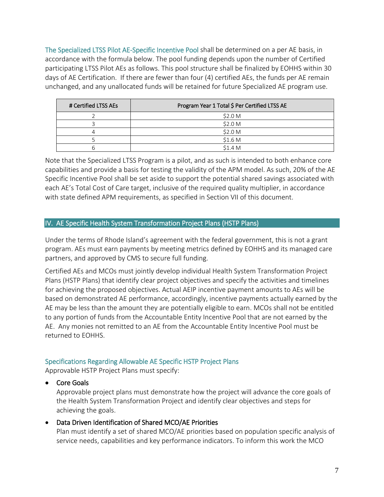The Specialized LTSS Pilot AE-Specific Incentive Pool shall be determined on a per AE basis, in accordance with the formula below. The pool funding depends upon the number of Certified participating LTSS Pilot AEs as follows. This pool structure shall be finalized by EOHHS within 30 days of AE Certification. If there are fewer than four (4) certified AEs, the funds per AE remain unchanged, and any unallocated funds will be retained for future Specialized AE program use.

| # Certified LTSS AEs | Program Year 1 Total \$ Per Certified LTSS AE |
|----------------------|-----------------------------------------------|
|                      | \$2.0 M                                       |
|                      | \$2.0 M                                       |
|                      | \$2.0 M                                       |
|                      | \$1.6 <sub>M</sub>                            |
|                      | \$1.4 M                                       |

Note that the Specialized LTSS Program is a pilot, and as such is intended to both enhance core capabilities and provide a basis for testing the validity of the APM model. As such, 20% of the AE Specific Incentive Pool shall be set aside to support the potential shared savings associated with each AE's Total Cost of Care target, inclusive of the required quality multiplier, in accordance with state defined APM requirements, as specified in Section VII of this document.

# IV. AE Specific Health System Transformation Project Plans (HSTP Plans)

Under the terms of Rhode Island's agreement with the federal government, this is not a grant program. AEs must earn payments by meeting metrics defined by EOHHS and its managed care partners, and approved by CMS to secure full funding.

Certified AEs and MCOs must jointly develop individual Health System Transformation Project Plans (HSTP Plans) that identify clear project objectives and specify the activities and timelines for achieving the proposed objectives. Actual AEIP incentive payment amounts to AEs will be based on demonstrated AE performance, accordingly, incentive payments actually earned by the AE may be less than the amount they are potentially eligible to earn. MCOs shall not be entitled to any portion of funds from the Accountable Entity Incentive Pool that are not earned by the AE. Any monies not remitted to an AE from the Accountable Entity Incentive Pool must be returned to EOHHS.

#### Specifications Regarding Allowable AE Specific HSTP Project Plans

Approvable HSTP Project Plans must specify:

#### • Core Goals

Approvable project plans must demonstrate how the project will advance the core goals of the Health System Transformation Project and identify clear objectives and steps for achieving the goals.

#### • Data Driven Identification of Shared MCO/AE Priorities

Plan must identify a set of shared MCO/AE priorities based on population specific analysis of service needs, capabilities and key performance indicators. To inform this work the MCO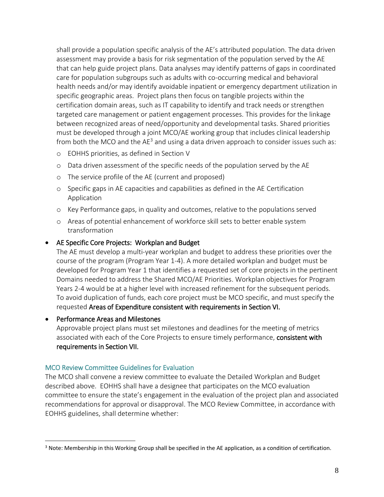shall provide a population specific analysis of the AE's attributed population. The data driven assessment may provide a basis for risk segmentation of the population served by the AE that can help guide project plans. Data analyses may identify patterns of gaps in coordinated care for population subgroups such as adults with co-occurring medical and behavioral health needs and/or may identify avoidable inpatient or emergency department utilization in specific geographic areas. Project plans then focus on tangible projects within the certification domain areas, such as IT capability to identify and track needs or strengthen targeted care management or patient engagement processes. This provides for the linkage between recognized areas of need/opportunity and developmental tasks. Shared priorities must be developed through a joint MCO/AE working group that includes clinical leadership from both the MCO and the  $AE<sup>3</sup>$  and using a data driven approach to consider issues such as:

- o EOHHS priorities, as defined in Section V
- o Data driven assessment of the specific needs of the population served by the AE
- o The service profile of the AE (current and proposed)
- o Specific gaps in AE capacities and capabilities as defined in the AE Certification Application
- o Key Performance gaps, in quality and outcomes, relative to the populations served
- o Areas of potential enhancement of workforce skill sets to better enable system transformation

#### • AE Specific Core Projects: Workplan and Budget

The AE must develop a multi-year workplan and budget to address these priorities over the course of the program (Program Year 1-4). A more detailed workplan and budget must be developed for Program Year 1 that identifies a requested set of core projects in the pertinent Domains needed to address the Shared MCO/AE Priorities. Workplan objectives for Program Years 2-4 would be at a higher level with increased refinement for the subsequent periods. To avoid duplication of funds, each core project must be MCO specific, and must specify the requested Areas of Expenditure consistent with requirements in Section VI.

#### • Performance Areas and Milestones

 $\overline{a}$ 

Approvable project plans must set milestones and deadlines for the meeting of metrics associated with each of the Core Projects to ensure timely performance, consistent with requirements in Section VII.

#### MCO Review Committee Guidelines for Evaluation

The MCO shall convene a review committee to evaluate the Detailed Workplan and Budget described above. EOHHS shall have a designee that participates on the MCO evaluation committee to ensure the state's engagement in the evaluation of the project plan and associated recommendations for approval or disapproval. The MCO Review Committee, in accordance with EOHHS guidelines, shall determine whether:

<sup>&</sup>lt;sup>3</sup> Note: Membership in this Working Group shall be specified in the AE application, as a condition of certification.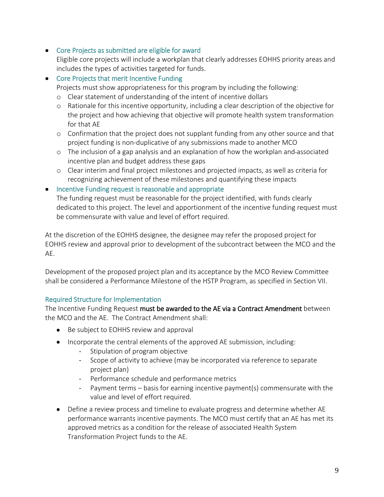• Core Projects as submitted are eligible for award

Eligible core projects will include a workplan that clearly addresses EOHHS priority areas and includes the types of activities targeted for funds.

• Core Projects that merit Incentive Funding

Projects must show appropriateness for this program by including the following:

- o Clear statement of understanding of the intent of incentive dollars
- o Rationale for this incentive opportunity, including a clear description of the objective for the project and how achieving that objective will promote health system transformation for that AE
- o Confirmation that the project does not supplant funding from any other source and that project funding is non-duplicative of any submissions made to another MCO
- o The inclusion of a gap analysis and an explanation of how the workplan and associated incentive plan and budget address these gaps
- o Clear interim and final project milestones and projected impacts, as well as criteria for recognizing achievement of these milestones and quantifying these impacts
- Incentive Funding request is reasonable and appropriate

The funding request must be reasonable for the project identified, with funds clearly dedicated to this project. The level and apportionment of the incentive funding request must be commensurate with value and level of effort required.

At the discretion of the EOHHS designee, the designee may refer the proposed project for EOHHS review and approval prior to development of the subcontract between the MCO and the AE.

Development of the proposed project plan and its acceptance by the MCO Review Committee shall be considered a Performance Milestone of the HSTP Program, as specified in Section VII.

# Required Structure for Implementation

The Incentive Funding Request must be awarded to the AE via a Contract Amendment between the MCO and the AE. The Contract Amendment shall:

- Be subject to EOHHS review and approval
- Incorporate the central elements of the approved AE submission, including:
	- Stipulation of program objective
	- Scope of activity to achieve (may be incorporated via reference to separate project plan)
	- Performance schedule and performance metrics
	- Payment terms basis for earning incentive payment(s) commensurate with the value and level of effort required.
- Define a review process and timeline to evaluate progress and determine whether AE performance warrants incentive payments. The MCO must certify that an AE has met its approved metrics as a condition for the release of associated Health System Transformation Project funds to the AE.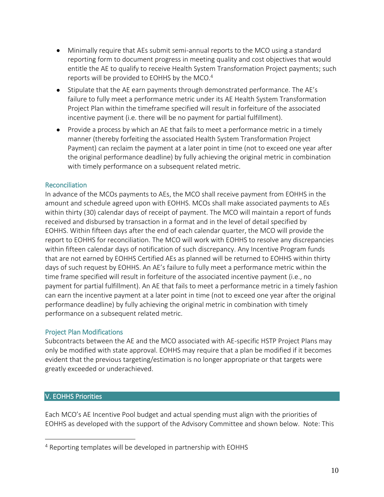- Minimally require that AEs submit semi-annual reports to the MCO using a standard reporting form to document progress in meeting quality and cost objectives that would entitle the AE to qualify to receive Health System Transformation Project payments; such reports will be provided to EOHHS by the MCO. 4
- Stipulate that the AE earn payments through demonstrated performance. The AE's failure to fully meet a performance metric under its AE Health System Transformation Project Plan within the timeframe specified will result in forfeiture of the associated incentive payment (i.e. there will be no payment for partial fulfillment).
- Provide a process by which an AE that fails to meet a performance metric in a timely manner (thereby forfeiting the associated Health System Transformation Project Payment) can reclaim the payment at a later point in time (not to exceed one year after the original performance deadline) by fully achieving the original metric in combination with timely performance on a subsequent related metric.

# Reconciliation

In advance of the MCOs payments to AEs, the MCO shall receive payment from EOHHS in the amount and schedule agreed upon with EOHHS. MCOs shall make associated payments to AEs within thirty (30) calendar days of receipt of payment. The MCO will maintain a report of funds received and disbursed by transaction in a format and in the level of detail specified by EOHHS. Within fifteen days after the end of each calendar quarter, the MCO will provide the report to EOHHS for reconciliation. The MCO will work with EOHHS to resolve any discrepancies within fifteen calendar days of notification of such discrepancy. Any Incentive Program funds that are not earned by EOHHS Certified AEs as planned will be returned to EOHHS within thirty days of such request by EOHHS. An AE's failure to fully meet a performance metric within the time frame specified will result in forfeiture of the associated incentive payment (i.e., no payment for partial fulfillment). An AE that fails to meet a performance metric in a timely fashion can earn the incentive payment at a later point in time (not to exceed one year after the original performance deadline) by fully achieving the original metric in combination with timely performance on a subsequent related metric.

#### Project Plan Modifications

Subcontracts between the AE and the MCO associated with AE-specific HSTP Project Plans may only be modified with state approval. EOHHS may require that a plan be modified if it becomes evident that the previous targeting/estimation is no longer appropriate or that targets were greatly exceeded or underachieved.

# V. EOHHS Priorities

 $\overline{a}$ 

Each MCO's AE Incentive Pool budget and actual spending must align with the priorities of EOHHS as developed with the support of the Advisory Committee and shown below. Note: This

<sup>4</sup> Reporting templates will be developed in partnership with EOHHS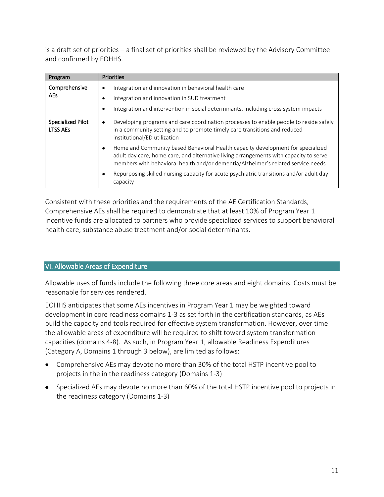is a draft set of priorities – a final set of priorities shall be reviewed by the Advisory Committee and confirmed by EOHHS.

| Program                                     | <b>Priorities</b>                                                                                                                                                                                                                                            |
|---------------------------------------------|--------------------------------------------------------------------------------------------------------------------------------------------------------------------------------------------------------------------------------------------------------------|
| Comprehensive<br><b>AEs</b>                 | Integration and innovation in behavioral health care<br>$\bullet$<br>Integration and innovation in SUD treatment<br>Integration and intervention in social determinants, including cross system impacts<br>$\bullet$                                         |
| <b>Specialized Pilot</b><br><b>LTSS AEs</b> | Developing programs and care coordination processes to enable people to reside safely<br>٠<br>in a community setting and to promote timely care transitions and reduced<br>institutional/ED utilization                                                      |
|                                             | Home and Community based Behavioral Health capacity development for specialized<br>adult day care, home care, and alternative living arrangements with capacity to serve<br>members with behavioral health and/or dementia/Alzheimer's related service needs |
|                                             | Repurposing skilled nursing capacity for acute psychiatric transitions and/or adult day<br>capacity                                                                                                                                                          |

Consistent with these priorities and the requirements of the AE Certification Standards, Comprehensive AEs shall be required to demonstrate that at least 10% of Program Year 1 Incentive funds are allocated to partners who provide specialized services to support behavioral health care, substance abuse treatment and/or social determinants.

# VI. Allowable Areas of Expenditure

Allowable uses of funds include the following three core areas and eight domains. Costs must be reasonable for services rendered.

EOHHS anticipates that some AEs incentives in Program Year 1 may be weighted toward development in core readiness domains 1-3 as set forth in the certification standards, as AEs build the capacity and tools required for effective system transformation. However, over time the allowable areas of expenditure will be required to shift toward system transformation capacities (domains 4-8). As such, in Program Year 1, allowable Readiness Expenditures (Category A, Domains 1 through 3 below), are limited as follows:

- Comprehensive AEs may devote no more than 30% of the total HSTP incentive pool to projects in the in the readiness category (Domains 1-3)
- Specialized AEs may devote no more than 60% of the total HSTP incentive pool to projects in the readiness category (Domains 1-3)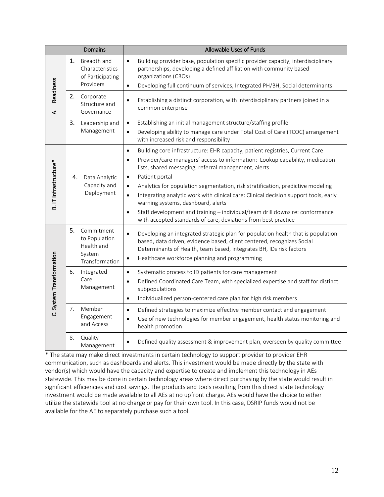|                          | Domains                                                                     | Allowable Uses of Funds                                                                                                                                                                                                                                                                                                                                                                                                                                                                                                                                                                                                                                                                 |
|--------------------------|-----------------------------------------------------------------------------|-----------------------------------------------------------------------------------------------------------------------------------------------------------------------------------------------------------------------------------------------------------------------------------------------------------------------------------------------------------------------------------------------------------------------------------------------------------------------------------------------------------------------------------------------------------------------------------------------------------------------------------------------------------------------------------------|
|                          | 1.<br>Breadth and<br>Characteristics<br>of Participating<br>Providers       | Building provider base, population specific provider capacity, interdisciplinary<br>$\bullet$<br>partnerships, developing a defined affiliation with community based<br>organizations (CBOs)<br>Developing full continuum of services, Integrated PH/BH, Social determinants<br>$\bullet$                                                                                                                                                                                                                                                                                                                                                                                               |
| <b>Readiness</b><br>خ    | 2.<br>Corporate<br>Structure and<br>Governance                              | Establishing a distinct corporation, with interdisciplinary partners joined in a<br>$\bullet$<br>common enterprise                                                                                                                                                                                                                                                                                                                                                                                                                                                                                                                                                                      |
|                          | 3.<br>Leadership and<br>Management                                          | Establishing an initial management structure/staffing profile<br>$\bullet$<br>Developing ability to manage care under Total Cost of Care (TCOC) arrangement<br>$\bullet$<br>with increased risk and responsibility                                                                                                                                                                                                                                                                                                                                                                                                                                                                      |
| B. IT Infrastructure*    | Data Analytic<br>4.<br>Capacity and<br>Deployment                           | Building core infrastructure: EHR capacity, patient registries, Current Care<br>$\bullet$<br>Provider/care managers' access to information: Lookup capability, medication<br>$\bullet$<br>lists, shared messaging, referral management, alerts<br>Patient portal<br>$\bullet$<br>Analytics for population segmentation, risk stratification, predictive modeling<br>$\bullet$<br>Integrating analytic work with clinical care: Clinical decision support tools, early<br>$\bullet$<br>warning systems, dashboard, alerts<br>Staff development and training - individual/team drill downs re: conformance<br>$\bullet$<br>with accepted standards of care, deviations from best practice |
|                          | 5.<br>Commitment<br>to Population<br>Health and<br>System<br>Transformation | Developing an integrated strategic plan for population health that is population<br>$\bullet$<br>based, data driven, evidence based, client centered, recognizes Social<br>Determinants of Health, team based, integrates BH, IDs risk factors<br>Healthcare workforce planning and programming<br>$\bullet$                                                                                                                                                                                                                                                                                                                                                                            |
| C. System Transformation | Integrated<br>6.<br>Care<br>Management                                      | Systematic process to ID patients for care management<br>$\bullet$<br>Defined Coordinated Care Team, with specialized expertise and staff for distinct<br>$\bullet$<br>subpopulations<br>Individualized person-centered care plan for high risk members<br>$\bullet$                                                                                                                                                                                                                                                                                                                                                                                                                    |
|                          | Member<br>7.<br>Engagement<br>and Access                                    | Defined strategies to maximize effective member contact and engagement<br>$\bullet$<br>Use of new technologies for member engagement, health status monitoring and<br>$\bullet$<br>health promotion                                                                                                                                                                                                                                                                                                                                                                                                                                                                                     |
|                          | 8.<br>Quality<br>Management                                                 | Defined quality assessment & improvement plan, overseen by quality committee<br>$\bullet$                                                                                                                                                                                                                                                                                                                                                                                                                                                                                                                                                                                               |

\* The state may make direct investments in certain technology to support provider to provider EHR communication, such as dashboards and alerts. This investment would be made directly by the state with vendor(s) which would have the capacity and expertise to create and implement this technology in AEs statewide. This may be done in certain technology areas where direct purchasing by the state would result in significant efficiencies and cost savings. The products and tools resulting from this direct state technology investment would be made available to all AEs at no upfront charge. AEs would have the choice to either utilize the statewide tool at no charge or pay for their own tool. In this case, DSRIP funds would not be available for the AE to separately purchase such a tool.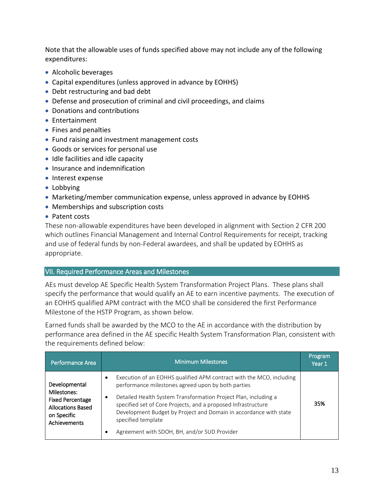Note that the allowable uses of funds specified above may not include any of the following expenditures:

- Alcoholic beverages
- Capital expenditures (unless approved in advance by EOHHS)
- Debt restructuring and bad debt
- Defense and prosecution of criminal and civil proceedings, and claims
- Donations and contributions
- Entertainment
- Fines and penalties
- Fund raising and investment management costs
- Goods or services for personal use
- Idle facilities and idle capacity
- Insurance and indemnification
- Interest expense
- Lobbying
- Marketing/member communication expense, unless approved in advance by EOHHS
- Memberships and subscription costs
- Patent costs

These non-allowable expenditures have been developed in alignment with Section 2 CFR 200 which outlines Financial Management and Internal Control Requirements for receipt, tracking and use of federal funds by non-Federal awardees, and shall be updated by EOHHS as appropriate.

#### VII. Required Performance Areas and Milestones

AEs must develop AE Specific Health System Transformation Project Plans. These plans shall specify the performance that would qualify an AE to earn incentive payments. The execution of an EOHHS qualified APM contract with the MCO shall be considered the first Performance Milestone of the HSTP Program, as shown below.

Earned funds shall be awarded by the MCO to the AE in accordance with the distribution by performance area defined in the AE specific Health System Transformation Plan, consistent with the requirements defined below:

| Performance Area                                                                                                   | <b>Minimum Milestones</b>                                                                                                                                                                                                                                                                                                                                                                                                        | Program<br>Year 1 |
|--------------------------------------------------------------------------------------------------------------------|----------------------------------------------------------------------------------------------------------------------------------------------------------------------------------------------------------------------------------------------------------------------------------------------------------------------------------------------------------------------------------------------------------------------------------|-------------------|
| Developmental<br>Milestones:<br><b>Fixed Percentage</b><br><b>Allocations Based</b><br>on Specific<br>Achievements | Execution of an EOHHS qualified APM contract with the MCO, including<br>$\bullet$<br>performance milestones agreed upon by both parties<br>Detailed Health System Transformation Project Plan, including a<br>٠<br>specified set of Core Projects, and a proposed Infrastructure<br>Development Budget by Project and Domain in accordance with state<br>specified template<br>Agreement with SDOH, BH, and/or SUD Provider<br>٠ | 35%               |